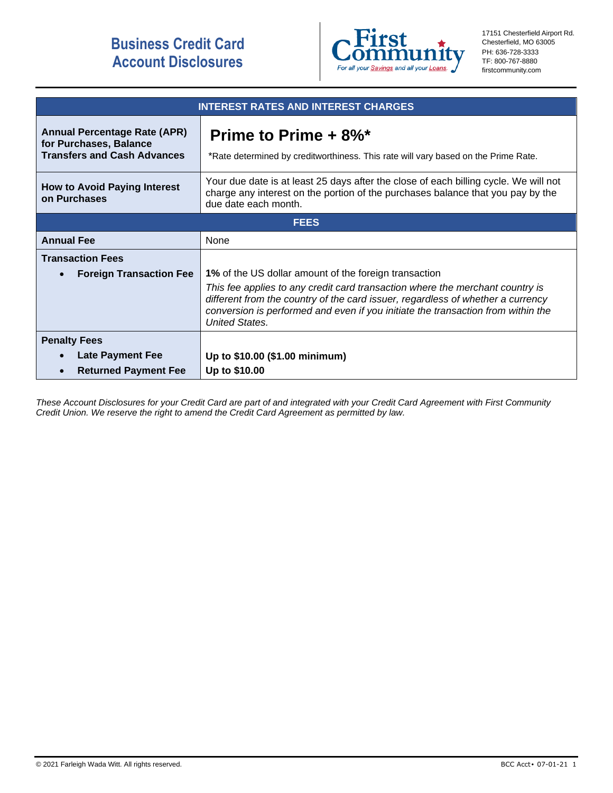# **Business Credit Card Account Disclosures**



17151 Chesterfield Airport Rd. Chesterfield, MO 63005 PH: 636-728-3333 TF: 800-767-8880 firstcommunity.com

| <b>INTEREST RATES AND INTEREST CHARGES</b>                                                              |                                                                                                                                                                                                                                                                                                                                        |
|---------------------------------------------------------------------------------------------------------|----------------------------------------------------------------------------------------------------------------------------------------------------------------------------------------------------------------------------------------------------------------------------------------------------------------------------------------|
| <b>Annual Percentage Rate (APR)</b><br>for Purchases, Balance<br><b>Transfers and Cash Advances</b>     | Prime to Prime $+8\%$ <sup>*</sup><br>*Rate determined by creditworthiness. This rate will vary based on the Prime Rate.                                                                                                                                                                                                               |
| <b>How to Avoid Paying Interest</b><br>on Purchases                                                     | Your due date is at least 25 days after the close of each billing cycle. We will not<br>charge any interest on the portion of the purchases balance that you pay by the<br>due date each month.                                                                                                                                        |
| <b>FEES</b>                                                                                             |                                                                                                                                                                                                                                                                                                                                        |
| <b>Annual Fee</b>                                                                                       | None                                                                                                                                                                                                                                                                                                                                   |
| <b>Transaction Fees</b><br><b>Foreign Transaction Fee</b>                                               | 1% of the US dollar amount of the foreign transaction<br>This fee applies to any credit card transaction where the merchant country is<br>different from the country of the card issuer, regardless of whether a currency<br>conversion is performed and even if you initiate the transaction from within the<br><b>United States.</b> |
| <b>Penalty Fees</b><br><b>Late Payment Fee</b><br>$\bullet$<br><b>Returned Payment Fee</b><br>$\bullet$ | Up to \$10.00 (\$1.00 minimum)<br>Up to \$10.00                                                                                                                                                                                                                                                                                        |

*These Account Disclosures for your Credit Card are part of and integrated with your Credit Card Agreement with First Community Credit Union. We reserve the right to amend the Credit Card Agreement as permitted by law.*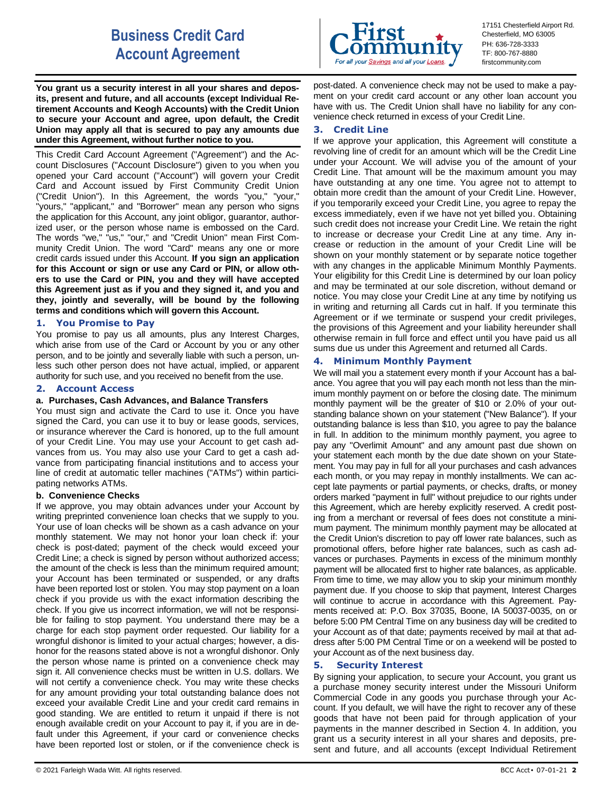# **Business Credit Card Account Agreement**

**You grant us a security interest in all your shares and deposits, present and future, and all accounts (except Individual Retirement Accounts and Keogh Accounts) with the Credit Union to secure your Account and agree, upon default, the Credit Union may apply all that is secured to pay any amounts due under this Agreement, without further notice to you.**

This Credit Card Account Agreement ("Agreement") and the Account Disclosures ("Account Disclosure") given to you when you opened your Card account ("Account") will govern your Credit Card and Account issued by First Community Credit Union ("Credit Union"). In this Agreement, the words "you," "your," "yours," "applicant," and "Borrower" mean any person who signs the application for this Account, any joint obligor, guarantor, authorized user, or the person whose name is embossed on the Card. The words "we," "us," "our," and "Credit Union" mean First Community Credit Union. The word "Card" means any one or more credit cards issued under this Account. **If you sign an application for this Account or sign or use any Card or PIN, or allow others to use the Card or PIN, you and they will have accepted this Agreement just as if you and they signed it, and you and they, jointly and severally, will be bound by the following terms and conditions which will govern this Account.**

## **1. You Promise to Pay**

You promise to pay us all amounts, plus any Interest Charges, which arise from use of the Card or Account by you or any other person, and to be jointly and severally liable with such a person, unless such other person does not have actual, implied, or apparent authority for such use, and you received no benefit from the use.

# **2. Account Access**

## **a. Purchases, Cash Advances, and Balance Transfers**

You must sign and activate the Card to use it. Once you have signed the Card, you can use it to buy or lease goods, services, or insurance wherever the Card is honored, up to the full amount of your Credit Line. You may use your Account to get cash advances from us. You may also use your Card to get a cash advance from participating financial institutions and to access your line of credit at automatic teller machines ("ATMs") within participating networks ATMs.

## **b. Convenience Checks**

If we approve, you may obtain advances under your Account by writing preprinted convenience loan checks that we supply to you. Your use of loan checks will be shown as a cash advance on your monthly statement. We may not honor your loan check if: your check is post-dated; payment of the check would exceed your Credit Line; a check is signed by person without authorized access; the amount of the check is less than the minimum required amount; your Account has been terminated or suspended, or any drafts have been reported lost or stolen. You may stop payment on a loan check if you provide us with the exact information describing the check. If you give us incorrect information, we will not be responsible for failing to stop payment. You understand there may be a charge for each stop payment order requested. Our liability for a wrongful dishonor is limited to your actual charges; however, a dishonor for the reasons stated above is not a wrongful dishonor. Only the person whose name is printed on a convenience check may sign it. All convenience checks must be written in U.S. dollars. We will not certify a convenience check. You may write these checks for any amount providing your total outstanding balance does not exceed your available Credit Line and your credit card remains in good standing. We are entitled to return it unpaid if there is not enough available credit on your Account to pay it, if you are in default under this Agreement, if your card or convenience checks have been reported lost or stolen, or if the convenience check is



17151 Chesterfield Airport Rd. Chesterfield, MO 63005 PH: 636-728-3333 TF: 800-767-8880 firstcommunity.com

post-dated. A convenience check may not be used to make a payment on your credit card account or any other loan account you have with us. The Credit Union shall have no liability for any convenience check returned in excess of your Credit Line.

## **3. Credit Line**

If we approve your application, this Agreement will constitute a revolving line of credit for an amount which will be the Credit Line under your Account. We will advise you of the amount of your Credit Line. That amount will be the maximum amount you may have outstanding at any one time. You agree not to attempt to obtain more credit than the amount of your Credit Line. However, if you temporarily exceed your Credit Line, you agree to repay the excess immediately, even if we have not yet billed you. Obtaining such credit does not increase your Credit Line. We retain the right to increase or decrease your Credit Line at any time. Any increase or reduction in the amount of your Credit Line will be shown on your monthly statement or by separate notice together with any changes in the applicable Minimum Monthly Payments. Your eligibility for this Credit Line is determined by our loan policy and may be terminated at our sole discretion, without demand or notice. You may close your Credit Line at any time by notifying us in writing and returning all Cards cut in half. If you terminate this Agreement or if we terminate or suspend your credit privileges, the provisions of this Agreement and your liability hereunder shall otherwise remain in full force and effect until you have paid us all sums due us under this Agreement and returned all Cards.

## **4. Minimum Monthly Payment**

We will mail you a statement every month if your Account has a balance. You agree that you will pay each month not less than the minimum monthly payment on or before the closing date. The minimum monthly payment will be the greater of \$10 or 2.0% of your outstanding balance shown on your statement ("New Balance"). If your outstanding balance is less than \$10, you agree to pay the balance in full. In addition to the minimum monthly payment, you agree to pay any "Overlimit Amount" and any amount past due shown on your statement each month by the due date shown on your Statement. You may pay in full for all your purchases and cash advances each month, or you may repay in monthly installments. We can accept late payments or partial payments, or checks, drafts, or money orders marked "payment in full" without prejudice to our rights under this Agreement, which are hereby explicitly reserved. A credit posting from a merchant or reversal of fees does not constitute a minimum payment. The minimum monthly payment may be allocated at the Credit Union's discretion to pay off lower rate balances, such as promotional offers, before higher rate balances, such as cash advances or purchases. Payments in excess of the minimum monthly payment will be allocated first to higher rate balances, as applicable. From time to time, we may allow you to skip your minimum monthly payment due. If you choose to skip that payment, Interest Charges will continue to accrue in accordance with this Agreement. Payments received at: P.O. Box 37035, Boone, IA 50037-0035, on or before 5:00 PM Central Time on any business day will be credited to your Account as of that date; payments received by mail at that address after 5:00 PM Central Time or on a weekend will be posted to your Account as of the next business day.

# **5. Security Interest**

By signing your application, to secure your Account, you grant us a purchase money security interest under the Missouri Uniform Commercial Code in any goods you purchase through your Account. If you default, we will have the right to recover any of these goods that have not been paid for through application of your payments in the manner described in Section 4. In addition, you grant us a security interest in all your shares and deposits, present and future, and all accounts (except Individual Retirement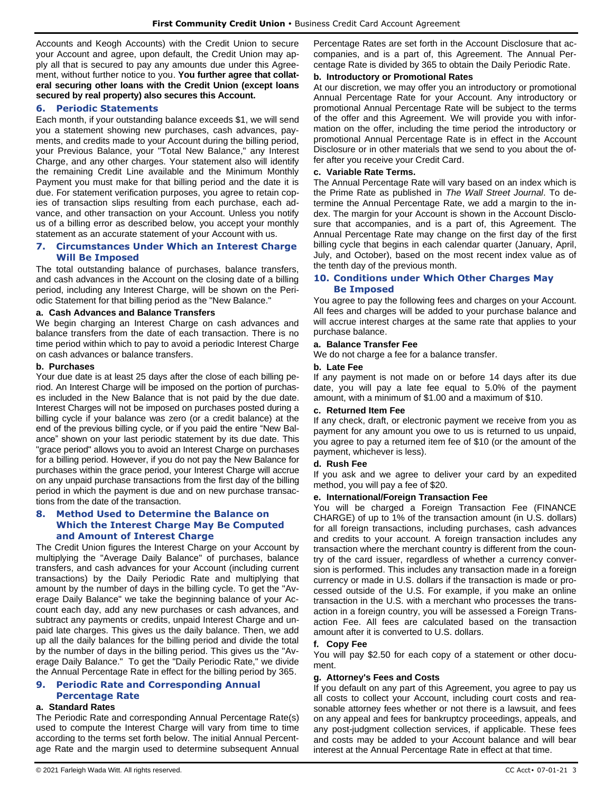Accounts and Keogh Accounts) with the Credit Union to secure your Account and agree, upon default, the Credit Union may apply all that is secured to pay any amounts due under this Agreement, without further notice to you. **You further agree that collateral securing other loans with the Credit Union (except loans secured by real property) also secures this Account.**

## **6. Periodic Statements**

Each month, if your outstanding balance exceeds \$1, we will send you a statement showing new purchases, cash advances, payments, and credits made to your Account during the billing period, your Previous Balance, your "Total New Balance," any Interest Charge, and any other charges. Your statement also will identify the remaining Credit Line available and the Minimum Monthly Payment you must make for that billing period and the date it is due. For statement verification purposes, you agree to retain copies of transaction slips resulting from each purchase, each advance, and other transaction on your Account. Unless you notify us of a billing error as described below, you accept your monthly statement as an accurate statement of your Account with us.

## **7. Circumstances Under Which an Interest Charge Will Be Imposed**

The total outstanding balance of purchases, balance transfers, and cash advances in the Account on the closing date of a billing period, including any Interest Charge, will be shown on the Periodic Statement for that billing period as the "New Balance."

# **a. Cash Advances and Balance Transfers**

We begin charging an Interest Charge on cash advances and balance transfers from the date of each transaction. There is no time period within which to pay to avoid a periodic Interest Charge on cash advances or balance transfers.

## **b. Purchases**

Your due date is at least 25 days after the close of each billing period. An Interest Charge will be imposed on the portion of purchases included in the New Balance that is not paid by the due date. Interest Charges will not be imposed on purchases posted during a billing cycle if your balance was zero (or a credit balance) at the end of the previous billing cycle, or if you paid the entire "New Balance" shown on your last periodic statement by its due date. This "grace period" allows you to avoid an Interest Charge on purchases for a billing period. However, if you do not pay the New Balance for purchases within the grace period, your Interest Charge will accrue on any unpaid purchase transactions from the first day of the billing period in which the payment is due and on new purchase transactions from the date of the transaction.

# **8. Method Used to Determine the Balance on Which the Interest Charge May Be Computed and Amount of Interest Charge**

The Credit Union figures the Interest Charge on your Account by multiplying the "Average Daily Balance" of purchases, balance transfers, and cash advances for your Account (including current transactions) by the Daily Periodic Rate and multiplying that amount by the number of days in the billing cycle. To get the "Average Daily Balance" we take the beginning balance of your Account each day, add any new purchases or cash advances, and subtract any payments or credits, unpaid Interest Charge and unpaid late charges. This gives us the daily balance. Then, we add up all the daily balances for the billing period and divide the total by the number of days in the billing period. This gives us the "Average Daily Balance." To get the "Daily Periodic Rate," we divide the Annual Percentage Rate in effect for the billing period by 365.

# **9. Periodic Rate and Corresponding Annual Percentage Rate**

## **a. Standard Rates**

The Periodic Rate and corresponding Annual Percentage Rate(s) used to compute the Interest Charge will vary from time to time according to the terms set forth below. The initial Annual Percentage Rate and the margin used to determine subsequent Annual Percentage Rates are set forth in the Account Disclosure that accompanies, and is a part of, this Agreement. The Annual Percentage Rate is divided by 365 to obtain the Daily Periodic Rate.

# **b. Introductory or Promotional Rates**

At our discretion, we may offer you an introductory or promotional Annual Percentage Rate for your Account. Any introductory or promotional Annual Percentage Rate will be subject to the terms of the offer and this Agreement. We will provide you with information on the offer, including the time period the introductory or promotional Annual Percentage Rate is in effect in the Account Disclosure or in other materials that we send to you about the offer after you receive your Credit Card.

## **c. Variable Rate Terms.**

The Annual Percentage Rate will vary based on an index which is the Prime Rate as published in *The Wall Street Journal*. To determine the Annual Percentage Rate, we add a margin to the index. The margin for your Account is shown in the Account Disclosure that accompanies, and is a part of, this Agreement. The Annual Percentage Rate may change on the first day of the first billing cycle that begins in each calendar quarter (January, April, July, and October), based on the most recent index value as of the tenth day of the previous month.

## **10. Conditions under Which Other Charges May Be Imposed**

You agree to pay the following fees and charges on your Account. All fees and charges will be added to your purchase balance and will accrue interest charges at the same rate that applies to your purchase balance.

## **a. Balance Transfer Fee**

We do not charge a fee for a balance transfer.

## **b. Late Fee**

If any payment is not made on or before 14 days after its due date, you will pay a late fee equal to 5.0% of the payment amount, with a minimum of \$1.00 and a maximum of \$10.

## **c. Returned Item Fee**

If any check, draft, or electronic payment we receive from you as payment for any amount you owe to us is returned to us unpaid, you agree to pay a returned item fee of \$10 (or the amount of the payment, whichever is less).

## **d. Rush Fee**

If you ask and we agree to deliver your card by an expedited method, you will pay a fee of \$20.

## **e. International/Foreign Transaction Fee**

You will be charged a Foreign Transaction Fee (FINANCE CHARGE) of up to 1% of the transaction amount (in U.S. dollars) for all foreign transactions, including purchases, cash advances and credits to your account. A foreign transaction includes any transaction where the merchant country is different from the country of the card issuer, regardless of whether a currency conversion is performed. This includes any transaction made in a foreign currency or made in U.S. dollars if the transaction is made or processed outside of the U.S. For example, if you make an online transaction in the U.S. with a merchant who processes the transaction in a foreign country, you will be assessed a Foreign Transaction Fee. All fees are calculated based on the transaction amount after it is converted to U.S. dollars.

## **f. Copy Fee**

You will pay \$2.50 for each copy of a statement or other document.

## **g. Attorney's Fees and Costs**

If you default on any part of this Agreement, you agree to pay us all costs to collect your Account, including court costs and reasonable attorney fees whether or not there is a lawsuit, and fees on any appeal and fees for bankruptcy proceedings, appeals, and any post-judgment collection services, if applicable. These fees and costs may be added to your Account balance and will bear interest at the Annual Percentage Rate in effect at that time.